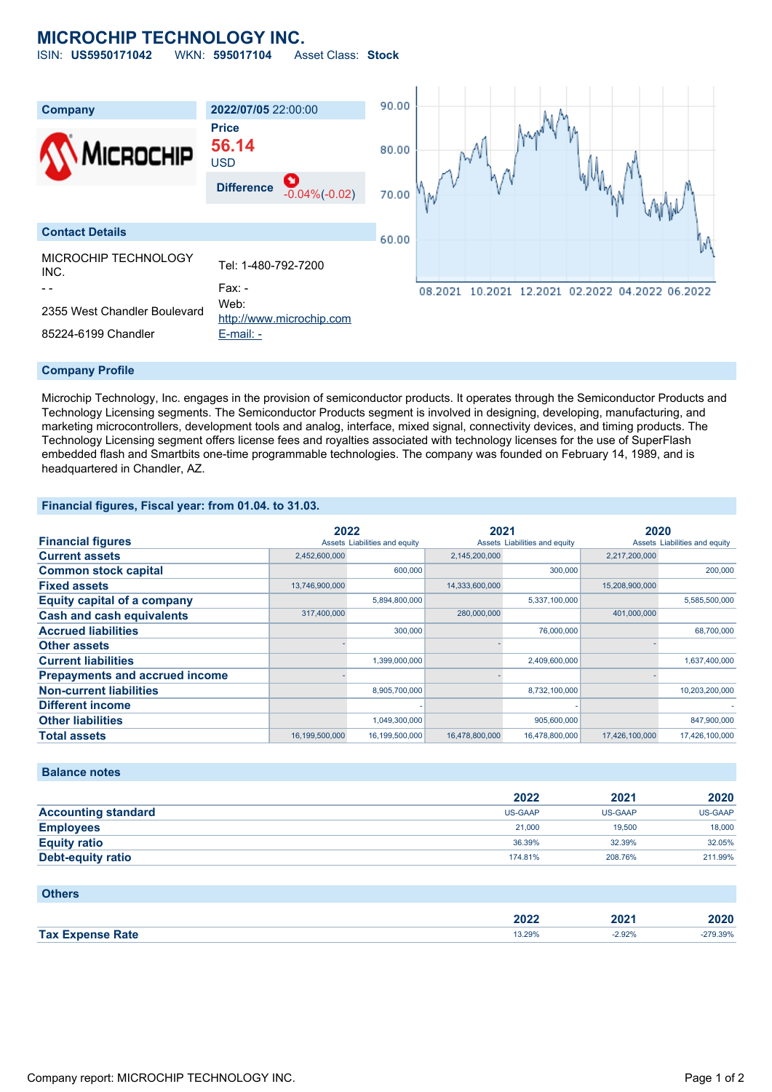## **MICROCHIP TECHNOLOGY INC.**

ISIN: **US5950171042** WKN: **595017104** Asset Class: **Stock**



#### **Company Profile**

Microchip Technology, Inc. engages in the provision of semiconductor products. It operates through the Semiconductor Products and Technology Licensing segments. The Semiconductor Products segment is involved in designing, developing, manufacturing, and marketing microcontrollers, development tools and analog, interface, mixed signal, connectivity devices, and timing products. The Technology Licensing segment offers license fees and royalties associated with technology licenses for the use of SuperFlash embedded flash and Smartbits one-time programmable technologies. The company was founded on February 14, 1989, and is headquartered in Chandler, AZ.

#### **Financial figures, Fiscal year: from 01.04. to 31.03.**

|                                       |                | 2022                          |                | 2021                          |                | 2020                          |  |
|---------------------------------------|----------------|-------------------------------|----------------|-------------------------------|----------------|-------------------------------|--|
| <b>Financial figures</b>              |                | Assets Liabilities and equity |                | Assets Liabilities and equity |                | Assets Liabilities and equity |  |
| <b>Current assets</b>                 | 2,452,600,000  |                               | 2,145,200,000  |                               | 2,217,200,000  |                               |  |
| <b>Common stock capital</b>           |                | 600,000                       |                | 300,000                       |                | 200,000                       |  |
| <b>Fixed assets</b>                   | 13,746,900,000 |                               | 14,333,600,000 |                               | 15,208,900,000 |                               |  |
| <b>Equity capital of a company</b>    |                | 5,894,800,000                 |                | 5,337,100,000                 |                | 5,585,500,000                 |  |
| <b>Cash and cash equivalents</b>      | 317,400,000    |                               | 280,000,000    |                               | 401,000,000    |                               |  |
| <b>Accrued liabilities</b>            |                | 300,000                       |                | 76,000,000                    |                | 68,700,000                    |  |
| <b>Other assets</b>                   |                |                               |                |                               |                |                               |  |
| <b>Current liabilities</b>            |                | 1,399,000,000                 |                | 2,409,600,000                 |                | 1,637,400,000                 |  |
| <b>Prepayments and accrued income</b> |                |                               |                |                               |                |                               |  |
| <b>Non-current liabilities</b>        |                | 8,905,700,000                 |                | 8,732,100,000                 |                | 10,203,200,000                |  |
| <b>Different income</b>               |                |                               |                |                               |                |                               |  |
| <b>Other liabilities</b>              |                | 1,049,300,000                 |                | 905,600,000                   |                | 847,900,000                   |  |
| <b>Total assets</b>                   | 16,199,500,000 | 16,199,500,000                | 16,478,800,000 | 16,478,800,000                | 17,426,100,000 | 17,426,100,000                |  |

#### **Balance notes**

|                            | 2022           | 2021           | 2020           |
|----------------------------|----------------|----------------|----------------|
| <b>Accounting standard</b> | <b>US-GAAP</b> | <b>US-GAAP</b> | <b>US-GAAP</b> |
| <b>Employees</b>           | 21,000         | 19,500         | 18,000         |
| <b>Equity ratio</b>        | 36.39%         | 32.39%         | 32.05%         |
| Debt-equity ratio          | 174.81%        | 208.76%        | 211.99%        |

#### **Others**

|                    | 2022   | ∤ר∩ר<br>AUZ L | 2020  |
|--------------------|--------|---------------|-------|
| <b>Tax</b><br>Rate | 13.29% | 92%           | 9.39% |